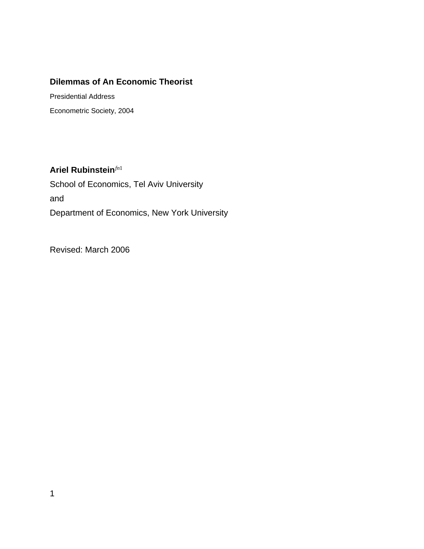# **Dilemmas of An Economic Theorist**

Presidential Address Econometric Society, 2004

**Ariel Rubinstein***fn*<sup>1</sup> School of Economics, Tel Aviv University and Department of Economics, New York University

Revised: March 2006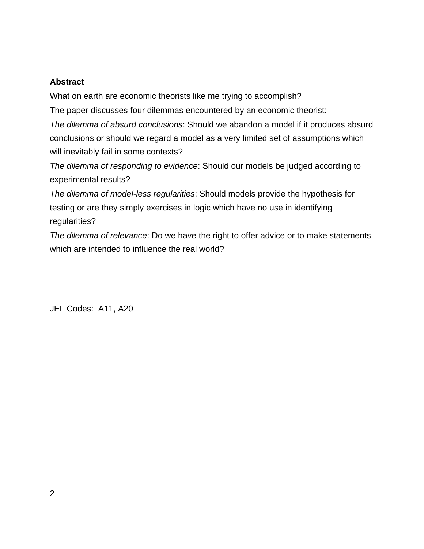## **Abstract**

What on earth are economic theorists like me trying to accomplish?

The paper discusses four dilemmas encountered by an economic theorist:

*The dilemma of absurd conclusions*: Should we abandon a model if it produces absurd conclusions or should we regard a model as a very limited set of assumptions which will inevitably fail in some contexts?

*The dilemma of responding to evidence*: Should our models be judged according to experimental results?

*The dilemma of model-less regularities*: Should models provide the hypothesis for testing or are they simply exercises in logic which have no use in identifying regularities?

*The dilemma of relevance*: Do we have the right to offer advice or to make statements which are intended to influence the real world?

JEL Codes: A11, A20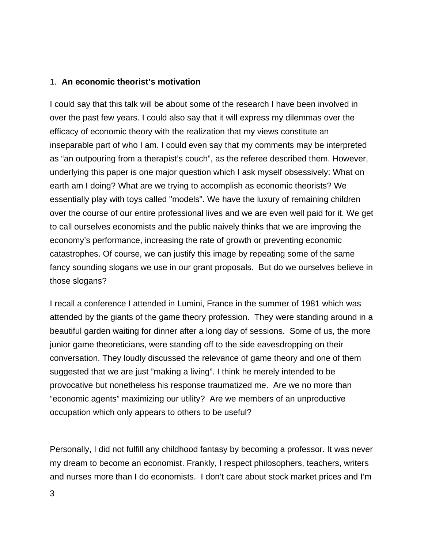### 1. **An economic theorist's motivation**

I could say that this talk will be about some of the research I have been involved in over the past few years. I could also say that it will express my dilemmas over the efficacy of economic theory with the realization that my views constitute an inseparable part of who I am. I could even say that my comments may be interpreted as "an outpouring from a therapist's couch", as the referee described them. However, underlying this paper is one major question which I ask myself obsessively: What on earth am I doing? What are we trying to accomplish as economic theorists? We essentially play with toys called "models". We have the luxury of remaining children over the course of our entire professional lives and we are even well paid for it. We get to call ourselves economists and the public naively thinks that we are improving the economy's performance, increasing the rate of growth or preventing economic catastrophes. Of course, we can justify this image by repeating some of the same fancy sounding slogans we use in our grant proposals. But do we ourselves believe in those slogans?

I recall a conference I attended in Lumini, France in the summer of 1981 which was attended by the giants of the game theory profession. They were standing around in a beautiful garden waiting for dinner after a long day of sessions. Some of us, the more junior game theoreticians, were standing off to the side eavesdropping on their conversation. They loudly discussed the relevance of game theory and one of them suggested that we are just "making a living". I think he merely intended to be provocative but nonetheless his response traumatized me. Are we no more than "economic agents" maximizing our utility? Are we members of an unproductive occupation which only appears to others to be useful?

Personally, I did not fulfill any childhood fantasy by becoming a professor. It was never my dream to become an economist. Frankly, I respect philosophers, teachers, writers and nurses more than I do economists. I don't care about stock market prices and I'm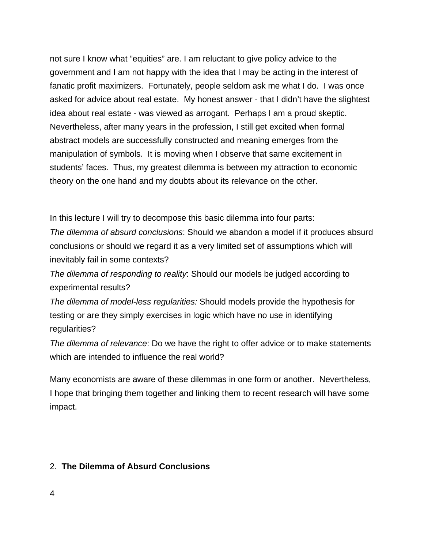not sure I know what "equities" are. I am reluctant to give policy advice to the government and I am not happy with the idea that I may be acting in the interest of fanatic profit maximizers. Fortunately, people seldom ask me what I do. I was once asked for advice about real estate. My honest answer - that I didn't have the slightest idea about real estate - was viewed as arrogant. Perhaps I am a proud skeptic. Nevertheless, after many years in the profession, I still get excited when formal abstract models are successfully constructed and meaning emerges from the manipulation of symbols. It is moving when I observe that same excitement in students' faces. Thus, my greatest dilemma is between my attraction to economic theory on the one hand and my doubts about its relevance on the other.

In this lecture I will try to decompose this basic dilemma into four parts:

*The dilemma of absurd conclusions*: Should we abandon a model if it produces absurd conclusions or should we regard it as a very limited set of assumptions which will inevitably fail in some contexts?

*The dilemma of responding to reality*: Should our models be judged according to experimental results?

*The dilemma of model-less regularities:* Should models provide the hypothesis for testing or are they simply exercises in logic which have no use in identifying regularities?

*The dilemma of relevance*: Do we have the right to offer advice or to make statements which are intended to influence the real world?

Many economists are aware of these dilemmas in one form or another. Nevertheless, I hope that bringing them together and linking them to recent research will have some impact.

### 2. **The Dilemma of Absurd Conclusions**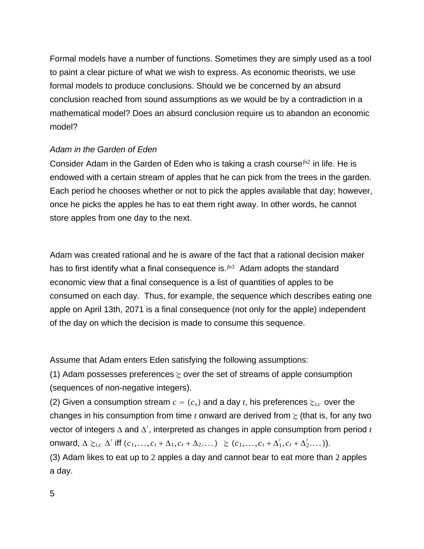Formal models have a number of functions. Sometimes they are simply used as a tool to paint a clear picture of what we wish to express. As economic theorists, we use formal models to produce conclusions. Should we be concerned by an absurd conclusion reached from sound assumptions as we would be by a contradiction in a mathematical model? Does an absurd conclusion require us to abandon an economic model?

#### *Adam in the Garden of Eden*

Consider Adam in the Garden of Eden who is taking a crash course*fn*<sup>2</sup> in life. He is endowed with a certain stream of apples that he can pick from the trees in the garden. Each period he chooses whether or not to pick the apples available that day; however, once he picks the apples he has to eat them right away. In other words, he cannot store apples from one day to the next.

Adam was created rational and he is aware of the fact that a rational decision maker has to first identify what a final consequence is.*fn*<sup>3</sup> Adam adopts the standard economic view that a final consequence is a list of quantities of apples to be consumed on each day. Thus, for example, the sequence which describes eating one apple on April 13th, 2071 is a final consequence (not only for the apple) independent of the day on which the decision is made to consume this sequence.

Assume that Adam enters Eden satisfying the following assumptions:

(1) Adam possesses preferences  $\succsim$  over the set of streams of apple consumption (sequences of non-negative integers).

(2) Given a consumption stream  $c = (c_s)$  and a day *t*, his preferences  $\succsim_{tc}$  over the changes in his consumption from time  $t$  onward are derived from  $\geq$  (that is, for any two vector of integers Δ and Δ′ , interpreted as changes in apple consumption from period *t* onward,  $\Delta \succeq_{t,c} \Delta'$  iff  $(c_1,\ldots,c_t + \Delta_1,c_t + \Delta_2,\ldots) \geq (c_1,\ldots,c_t + \Delta'_1,c_t + \Delta'_2,\ldots)).$ (3) Adam likes to eat up to 2 apples a day and cannot bear to eat more than 2 apples a day.

5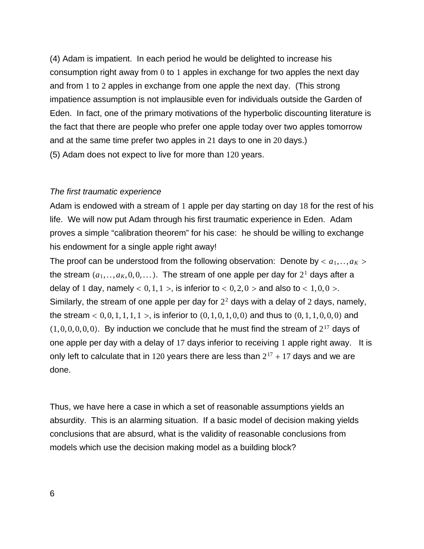(4) Adam is impatient. In each period he would be delighted to increase his consumption right away from 0 to 1 apples in exchange for two apples the next day and from 1 to 2 apples in exchange from one apple the next day. (This strong impatience assumption is not implausible even for individuals outside the Garden of Eden. In fact, one of the primary motivations of the hyperbolic discounting literature is the fact that there are people who prefer one apple today over two apples tomorrow and at the same time prefer two apples in 21 days to one in 20 days.) (5) Adam does not expect to live for more than 120 years.

#### *The first traumatic experience*

Adam is endowed with a stream of 1 apple per day starting on day 18 for the rest of his life. We will now put Adam through his first traumatic experience in Eden. Adam proves a simple "calibration theorem" for his case: he should be willing to exchange his endowment for a single apple right away!

The proof can be understood from the following observation: Denote by  $\langle a_1, \ldots, a_K \rangle$ the stream  $(a_1, \ldots, a_k, 0, 0, \ldots)$ . The stream of one apple per day for  $2<sup>1</sup>$  days after a delay of 1 day, namely  $< 0, 1, 1 >$ , is inferior to  $< 0, 2, 0 >$  and also to  $< 1, 0, 0 >$ . Similarly, the stream of one apple per day for  $2<sup>2</sup>$  days with a delay of 2 days, namely, the stream  $< 0, 0, 1, 1, 1, 1 >$ , is inferior to  $(0, 1, 0, 1, 0, 0)$  and thus to  $(0, 1, 1, 0, 0, 0)$  and  $(1, 0, 0, 0, 0, 0)$ . By induction we conclude that he must find the stream of  $2^{17}$  days of one apple per day with a delay of 17 days inferior to receiving 1 apple right away. It is only left to calculate that in 120 years there are less than  $2^{17} + 17$  days and we are done.

Thus, we have here a case in which a set of reasonable assumptions yields an absurdity. This is an alarming situation. If a basic model of decision making yields conclusions that are absurd, what is the validity of reasonable conclusions from models which use the decision making model as a building block?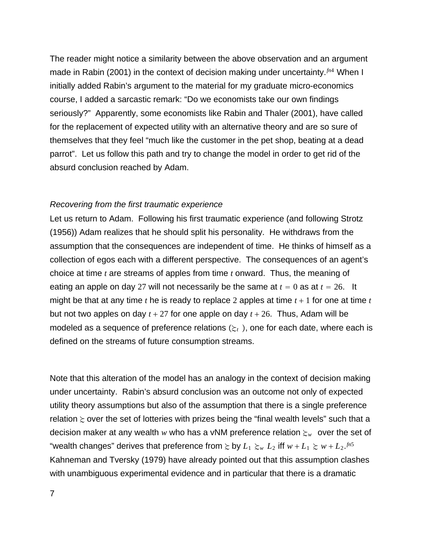The reader might notice a similarity between the above observation and an argument made in Rabin (2001) in the context of decision making under uncertainty.*fn*<sup>4</sup> When I initially added Rabin's argument to the material for my graduate micro-economics course, I added a sarcastic remark: "Do we economists take our own findings seriously?" Apparently, some economists like Rabin and Thaler (2001), have called for the replacement of expected utility with an alternative theory and are so sure of themselves that they feel "much like the customer in the pet shop, beating at a dead parrot". Let us follow this path and try to change the model in order to get rid of the absurd conclusion reached by Adam.

#### *Recovering from the first traumatic experience*

Let us return to Adam. Following his first traumatic experience (and following Strotz (1956)) Adam realizes that he should split his personality. He withdraws from the assumption that the consequences are independent of time. He thinks of himself as a collection of egos each with a different perspective. The consequences of an agent's choice at time *t* are streams of apples from time *t* onward. Thus, the meaning of eating an apple on day 27 will not necessarily be the same at  $t = 0$  as at  $t = 26$ . It might be that at any time  $t$  he is ready to replace 2 apples at time  $t + 1$  for one at time  $t$ but not two apples on day  $t + 27$  for one apple on day  $t + 26$ . Thus, Adam will be modeled as a sequence of preference relations  $(\xi_t)$ , one for each date, where each is defined on the streams of future consumption streams.

Note that this alteration of the model has an analogy in the context of decision making under uncertainty. Rabin's absurd conclusion was an outcome not only of expected utility theory assumptions but also of the assumption that there is a single preference relation  $\succsim$  over the set of lotteries with prizes being the "final wealth levels" such that a decision maker at any wealth *w* who has a vNM preference relation  $\epsilon_w$  over the set of "wealth changes" derives that preference from  $\succsim$  by  $L_1 \succsim_w L_2$  iff  $w + L_1 \succsim w + L_2$ .  $f^{n5}$ Kahneman and Tversky (1979) have already pointed out that this assumption clashes with unambiguous experimental evidence and in particular that there is a dramatic

7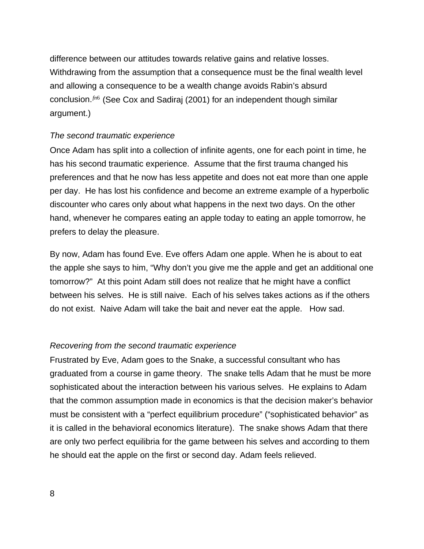difference between our attitudes towards relative gains and relative losses. Withdrawing from the assumption that a consequence must be the final wealth level and allowing a consequence to be a wealth change avoids Rabin's absurd conclusion.*fn*<sup>6</sup> (See Cox and Sadiraj (2001) for an independent though similar argument.)

#### *The second traumatic experience*

Once Adam has split into a collection of infinite agents, one for each point in time, he has his second traumatic experience. Assume that the first trauma changed his preferences and that he now has less appetite and does not eat more than one apple per day. He has lost his confidence and become an extreme example of a hyperbolic discounter who cares only about what happens in the next two days. On the other hand, whenever he compares eating an apple today to eating an apple tomorrow, he prefers to delay the pleasure.

By now, Adam has found Eve. Eve offers Adam one apple. When he is about to eat the apple she says to him, "Why don't you give me the apple and get an additional one tomorrow?" At this point Adam still does not realize that he might have a conflict between his selves. He is still naive. Each of his selves takes actions as if the others do not exist. Naive Adam will take the bait and never eat the apple. How sad.

#### *Recovering from the second traumatic experience*

Frustrated by Eve, Adam goes to the Snake, a successful consultant who has graduated from a course in game theory. The snake tells Adam that he must be more sophisticated about the interaction between his various selves. He explains to Adam that the common assumption made in economics is that the decision maker's behavior must be consistent with a "perfect equilibrium procedure" ("sophisticated behavior" as it is called in the behavioral economics literature). The snake shows Adam that there are only two perfect equilibria for the game between his selves and according to them he should eat the apple on the first or second day. Adam feels relieved.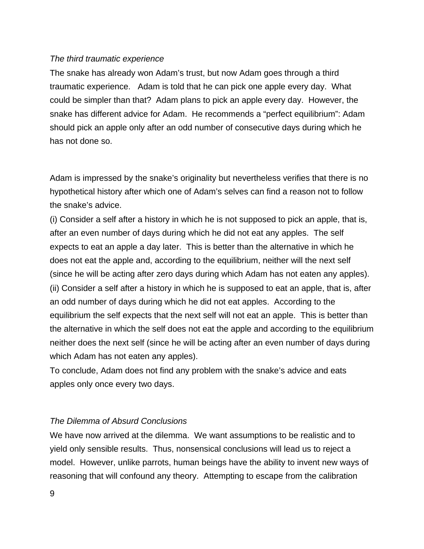### *The third traumatic experience*

The snake has already won Adam's trust, but now Adam goes through a third traumatic experience. Adam is told that he can pick one apple every day. What could be simpler than that? Adam plans to pick an apple every day. However, the snake has different advice for Adam. He recommends a "perfect equilibrium": Adam should pick an apple only after an odd number of consecutive days during which he has not done so.

Adam is impressed by the snake's originality but nevertheless verifies that there is no hypothetical history after which one of Adam's selves can find a reason not to follow the snake's advice.

(i) Consider a self after a history in which he is not supposed to pick an apple, that is, after an even number of days during which he did not eat any apples. The self expects to eat an apple a day later. This is better than the alternative in which he does not eat the apple and, according to the equilibrium, neither will the next self (since he will be acting after zero days during which Adam has not eaten any apples). (ii) Consider a self after a history in which he is supposed to eat an apple, that is, after an odd number of days during which he did not eat apples. According to the equilibrium the self expects that the next self will not eat an apple. This is better than the alternative in which the self does not eat the apple and according to the equilibrium neither does the next self (since he will be acting after an even number of days during which Adam has not eaten any apples).

To conclude, Adam does not find any problem with the snake's advice and eats apples only once every two days.

#### *The Dilemma of Absurd Conclusions*

We have now arrived at the dilemma. We want assumptions to be realistic and to yield only sensible results. Thus, nonsensical conclusions will lead us to reject a model. However, unlike parrots, human beings have the ability to invent new ways of reasoning that will confound any theory. Attempting to escape from the calibration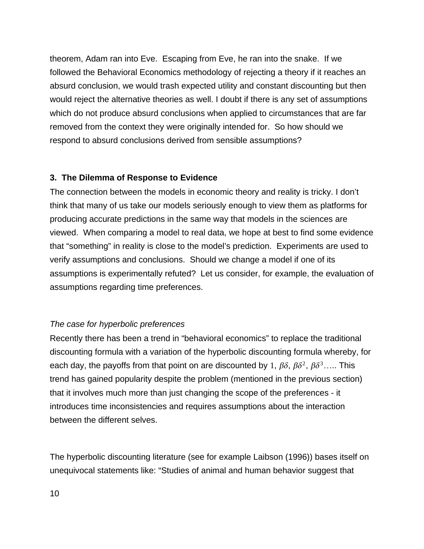theorem, Adam ran into Eve. Escaping from Eve, he ran into the snake. If we followed the Behavioral Economics methodology of rejecting a theory if it reaches an absurd conclusion, we would trash expected utility and constant discounting but then would reject the alternative theories as well. I doubt if there is any set of assumptions which do not produce absurd conclusions when applied to circumstances that are far removed from the context they were originally intended for. So how should we respond to absurd conclusions derived from sensible assumptions?

### **3. The Dilemma of Response to Evidence**

The connection between the models in economic theory and reality is tricky. I don't think that many of us take our models seriously enough to view them as platforms for producing accurate predictions in the same way that models in the sciences are viewed. When comparing a model to real data, we hope at best to find some evidence that "something" in reality is close to the model's prediction. Experiments are used to verify assumptions and conclusions. Should we change a model if one of its assumptions is experimentally refuted? Let us consider, for example, the evaluation of assumptions regarding time preferences.

### *The case for hyperbolic preferences*

Recently there has been a trend in "behavioral economics" to replace the traditional discounting formula with a variation of the hyperbolic discounting formula whereby, for each day, the payoffs from that point on are discounted by 1,  $\beta\delta$ ,  $\beta\delta^2$ ,  $\beta\delta^3$ ..... This trend has gained popularity despite the problem (mentioned in the previous section) that it involves much more than just changing the scope of the preferences - it introduces time inconsistencies and requires assumptions about the interaction between the different selves.

The hyperbolic discounting literature (see for example Laibson (1996)) bases itself on unequivocal statements like: "Studies of animal and human behavior suggest that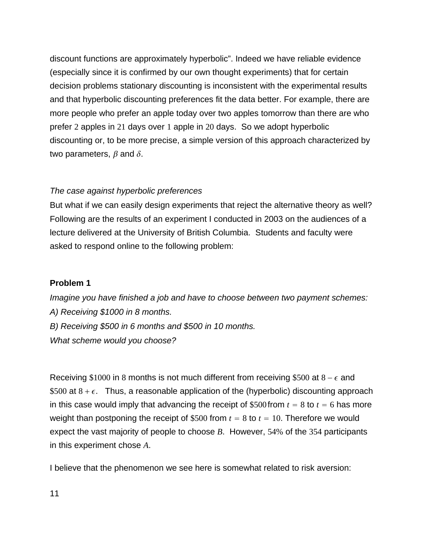discount functions are approximately hyperbolic". Indeed we have reliable evidence (especially since it is confirmed by our own thought experiments) that for certain decision problems stationary discounting is inconsistent with the experimental results and that hyperbolic discounting preferences fit the data better. For example, there are more people who prefer an apple today over two apples tomorrow than there are who prefer 2 apples in 21 days over 1 apple in 20 days. So we adopt hyperbolic discounting or, to be more precise, a simple version of this approach characterized by two parameters,  $\beta$  and  $\delta$ .

### *The case against hyperbolic preferences*

But what if we can easily design experiments that reject the alternative theory as well? Following are the results of an experiment I conducted in 2003 on the audiences of a lecture delivered at the University of British Columbia. Students and faculty were asked to respond online to the following problem:

# **Problem 1**

*Imagine you have finished a job and have to choose between two payment schemes: A) Receiving \$1000 in 8 months. B) Receiving \$500 in 6 months and \$500 in 10 months. What scheme would you choose?*

Receiving \$1000 in 8 months is not much different from receiving \$500 at  $8 - \epsilon$  and \$500 at  $8 + \epsilon$ . Thus, a reasonable application of the (hyperbolic) discounting approach in this case would imply that advancing the receipt of \$500 from  $t = 8$  to  $t = 6$  has more weight than postponing the receipt of \$500 from  $t = 8$  to  $t = 10$ . Therefore we would expect the vast majority of people to choose *B*. However, 54% of the 354 participants in this experiment chose *A*.

I believe that the phenomenon we see here is somewhat related to risk aversion: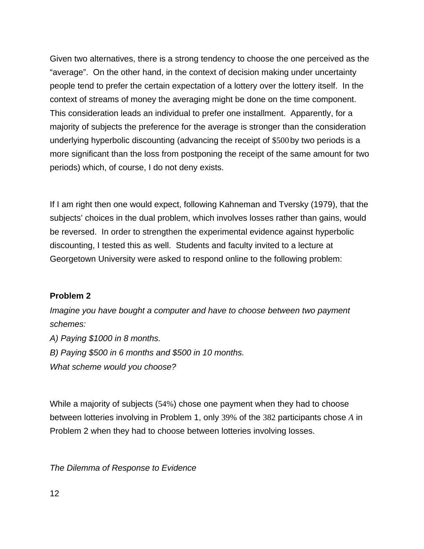Given two alternatives, there is a strong tendency to choose the one perceived as the "average". On the other hand, in the context of decision making under uncertainty people tend to prefer the certain expectation of a lottery over the lottery itself. In the context of streams of money the averaging might be done on the time component. This consideration leads an individual to prefer one installment. Apparently, for a majority of subjects the preference for the average is stronger than the consideration underlying hyperbolic discounting (advancing the receipt of \$500by two periods is a more significant than the loss from postponing the receipt of the same amount for two periods) which, of course, I do not deny exists.

If I am right then one would expect, following Kahneman and Tversky (1979), that the subjects' choices in the dual problem, which involves losses rather than gains, would be reversed. In order to strengthen the experimental evidence against hyperbolic discounting, I tested this as well. Students and faculty invited to a lecture at Georgetown University were asked to respond online to the following problem:

### **Problem 2**

*Imagine you have bought a computer and have to choose between two payment schemes: A) Paying \$1000 in 8 months. B) Paying \$500 in 6 months and \$500 in 10 months. What scheme would you choose?*

While a majority of subjects (54%) chose one payment when they had to choose between lotteries involving in Problem 1, only 39% of the 382 participants chose *A* in Problem 2 when they had to choose between lotteries involving losses.

*The Dilemma of Response to Evidence*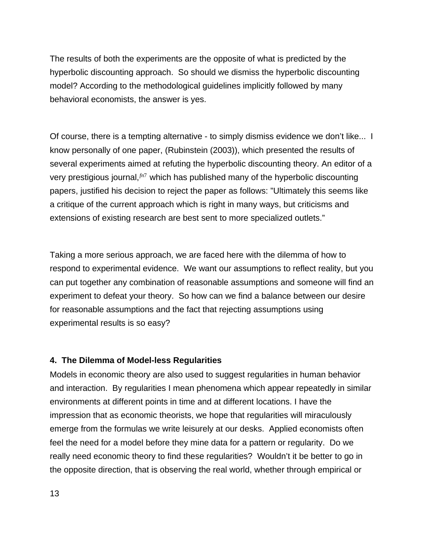The results of both the experiments are the opposite of what is predicted by the hyperbolic discounting approach. So should we dismiss the hyperbolic discounting model? According to the methodological guidelines implicitly followed by many behavioral economists, the answer is yes.

Of course, there is a tempting alternative - to simply dismiss evidence we don't like... I know personally of one paper, (Rubinstein (2003)), which presented the results of several experiments aimed at refuting the hyperbolic discounting theory. An editor of a very prestigious journal,*fn*<sup>7</sup> which has published many of the hyperbolic discounting papers, justified his decision to reject the paper as follows: "Ultimately this seems like a critique of the current approach which is right in many ways, but criticisms and extensions of existing research are best sent to more specialized outlets."

Taking a more serious approach, we are faced here with the dilemma of how to respond to experimental evidence. We want our assumptions to reflect reality, but you can put together any combination of reasonable assumptions and someone will find an experiment to defeat your theory. So how can we find a balance between our desire for reasonable assumptions and the fact that rejecting assumptions using experimental results is so easy?

#### **4. The Dilemma of Model-less Regularities**

Models in economic theory are also used to suggest regularities in human behavior and interaction. By regularities I mean phenomena which appear repeatedly in similar environments at different points in time and at different locations. I have the impression that as economic theorists, we hope that regularities will miraculously emerge from the formulas we write leisurely at our desks. Applied economists often feel the need for a model before they mine data for a pattern or regularity. Do we really need economic theory to find these regularities? Wouldn't it be better to go in the opposite direction, that is observing the real world, whether through empirical or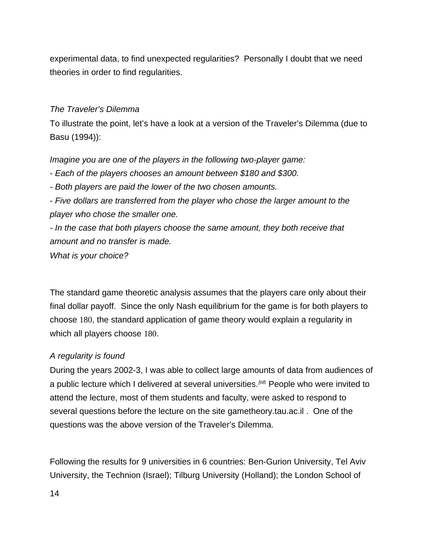experimental data, to find unexpected regularities? Personally I doubt that we need theories in order to find regularities.

### *The Traveler's Dilemma*

To illustrate the point, let's have a look at a version of the Traveler's Dilemma (due to Basu (1994)):

*Imagine you are one of the players in the following two-player game:*

*- Each of the players chooses an amount between \$180 and \$300.*

*- Both players are paid the lower of the two chosen amounts.*

*- Five dollars are transferred from the player who chose the larger amount to the player who chose the smaller one.*

*- In the case that both players choose the same amount, they both receive that amount and no transfer is made.*

*What is your choice?*

The standard game theoretic analysis assumes that the players care only about their final dollar payoff. Since the only Nash equilibrium for the game is for both players to choose 180, the standard application of game theory would explain a regularity in which all players choose 180.

### *A regularity is found*

During the years 2002-3, I was able to collect large amounts of data from audiences of a public lecture which I delivered at several universities.*fn*<sup>8</sup> People who were invited to attend the lecture, most of them students and faculty, were asked to respond to several questions before the lecture on the site gametheory.tau.ac.il . One of the questions was the above version of the Traveler's Dilemma.

Following the results for 9 universities in 6 countries: Ben-Gurion University, Tel Aviv University, the Technion (Israel); Tilburg University (Holland); the London School of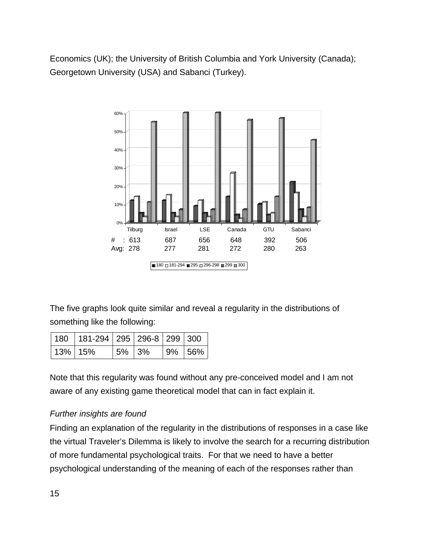Economics (UK); the University of British Columbia and York University (Canada); Georgetown University (USA) and Sabanci (Turkey).



The five graphs look quite similar and reveal a regularity in the distributions of something like the following:

|            | $180$   181-294   295   296-8   299   300 |            |  |             |
|------------|-------------------------------------------|------------|--|-------------|
| $13\%$ 15% |                                           | $ 5\% 3\%$ |  | $ 9\% 56\%$ |

Note that this regularity was found without any pre-conceived model and I am not aware of any existing game theoretical model that can in fact explain it.

# *Further insights are found*

Finding an explanation of the regularity in the distributions of responses in a case like the virtual Traveler's Dilemma is likely to involve the search for a recurring distribution of more fundamental psychological traits. For that we need to have a better psychological understanding of the meaning of each of the responses rather than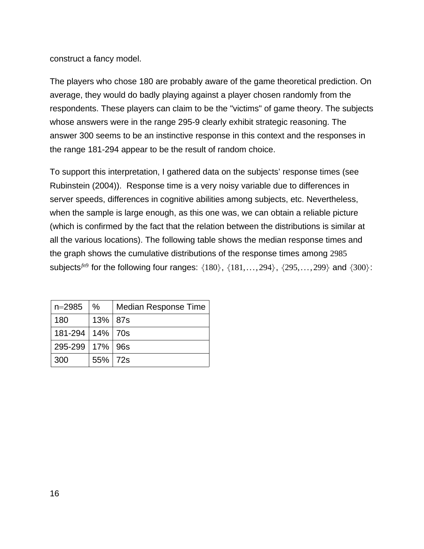### construct a fancy model.

The players who chose 180 are probably aware of the game theoretical prediction. On average, they would do badly playing against a player chosen randomly from the respondents. These players can claim to be the "victims" of game theory. The subjects whose answers were in the range 295-9 clearly exhibit strategic reasoning. The answer 300 seems to be an instinctive response in this context and the responses in the range 181-294 appear to be the result of random choice.

To support this interpretation, I gathered data on the subjects' response times (see Rubinstein (2004)). Response time is a very noisy variable due to differences in server speeds, differences in cognitive abilities among subjects, etc. Nevertheless, when the sample is large enough, as this one was, we can obtain a reliable picture (which is confirmed by the fact that the relation between the distributions is similar at all the various locations). The following table shows the median response times and the graph shows the cumulative distributions of the response times among 2985 subjects<sup> $f n$ 9</sup> for the following four ranges:  $\{180\}$ ,  $\{181,\ldots, 294\}$ ,  $\{295,\ldots, 299\}$  and  $\{300\}$ :

| $n = 2985$          | $\%$    | <b>Median Response Time</b> |
|---------------------|---------|-----------------------------|
| 180                 | 13% 87s |                             |
| 181-294   14%   70s |         |                             |
| 295-299   17%   96s |         |                             |
| 300                 | 55% 72s |                             |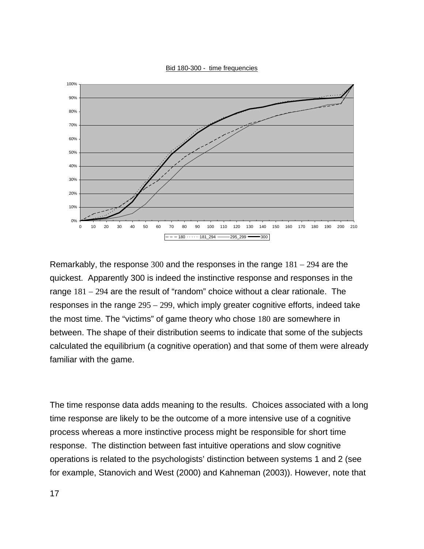



Remarkably, the response 300 and the responses in the range 181 − 294 are the quickest. Apparently 300 is indeed the instinctive response and responses in the range 181 − 294 are the result of "random" choice without a clear rationale. The responses in the range 295 − 299, which imply greater cognitive efforts, indeed take the most time. The "victims" of game theory who chose 180 are somewhere in between. The shape of their distribution seems to indicate that some of the subjects calculated the equilibrium (a cognitive operation) and that some of them were already familiar with the game.

The time response data adds meaning to the results. Choices associated with a long time response are likely to be the outcome of a more intensive use of a cognitive process whereas a more instinctive process might be responsible for short time response. The distinction between fast intuitive operations and slow cognitive operations is related to the psychologists' distinction between systems 1 and 2 (see for example, Stanovich and West (2000) and Kahneman (2003)). However, note that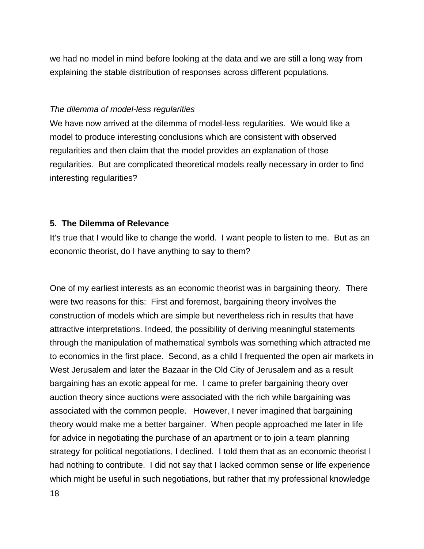we had no model in mind before looking at the data and we are still a long way from explaining the stable distribution of responses across different populations.

#### *The dilemma of model-less regularities*

We have now arrived at the dilemma of model-less regularities. We would like a model to produce interesting conclusions which are consistent with observed regularities and then claim that the model provides an explanation of those regularities. But are complicated theoretical models really necessary in order to find interesting regularities?

#### **5. The Dilemma of Relevance**

It's true that I would like to change the world. I want people to listen to me. But as an economic theorist, do I have anything to say to them?

One of my earliest interests as an economic theorist was in bargaining theory. There were two reasons for this: First and foremost, bargaining theory involves the construction of models which are simple but nevertheless rich in results that have attractive interpretations. Indeed, the possibility of deriving meaningful statements through the manipulation of mathematical symbols was something which attracted me to economics in the first place. Second, as a child I frequented the open air markets in West Jerusalem and later the Bazaar in the Old City of Jerusalem and as a result bargaining has an exotic appeal for me. I came to prefer bargaining theory over auction theory since auctions were associated with the rich while bargaining was associated with the common people. However, I never imagined that bargaining theory would make me a better bargainer. When people approached me later in life for advice in negotiating the purchase of an apartment or to join a team planning strategy for political negotiations, I declined. I told them that as an economic theorist I had nothing to contribute. I did not say that I lacked common sense or life experience which might be useful in such negotiations, but rather that my professional knowledge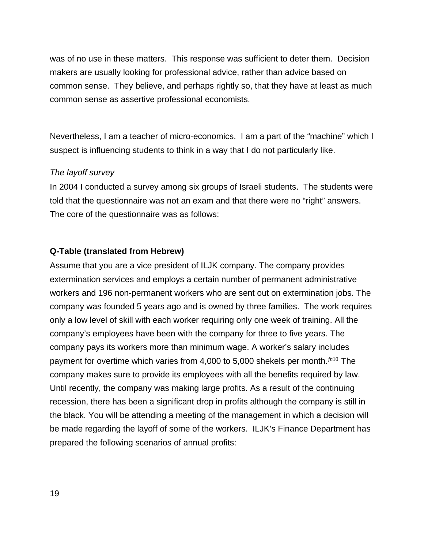was of no use in these matters. This response was sufficient to deter them. Decision makers are usually looking for professional advice, rather than advice based on common sense. They believe, and perhaps rightly so, that they have at least as much common sense as assertive professional economists.

Nevertheless, I am a teacher of micro-economics. I am a part of the "machine" which I suspect is influencing students to think in a way that I do not particularly like.

#### *The layoff survey*

In 2004 I conducted a survey among six groups of Israeli students. The students were told that the questionnaire was not an exam and that there were no "right" answers. The core of the questionnaire was as follows:

### **Q-Table (translated from Hebrew)**

Assume that you are a vice president of ILJK company. The company provides extermination services and employs a certain number of permanent administrative workers and 196 non-permanent workers who are sent out on extermination jobs. The company was founded 5 years ago and is owned by three families. The work requires only a low level of skill with each worker requiring only one week of training. All the company's employees have been with the company for three to five years. The company pays its workers more than minimum wage. A worker's salary includes payment for overtime which varies from 4,000 to 5,000 shekels per month.*fn*<sup>10</sup> The company makes sure to provide its employees with all the benefits required by law. Until recently, the company was making large profits. As a result of the continuing recession, there has been a significant drop in profits although the company is still in the black. You will be attending a meeting of the management in which a decision will be made regarding the layoff of some of the workers. ILJK's Finance Department has prepared the following scenarios of annual profits: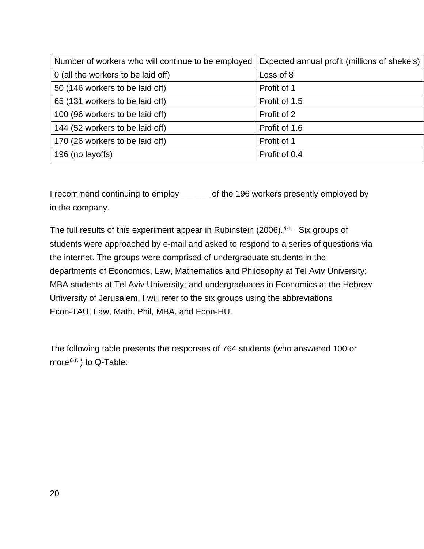| Number of workers who will continue to be employed | Expected annual profit (millions of shekels) |
|----------------------------------------------------|----------------------------------------------|
| 0 (all the workers to be laid off)                 | Loss of 8                                    |
| 50 (146 workers to be laid off)                    | Profit of 1                                  |
| 65 (131 workers to be laid off)                    | Profit of 1.5                                |
| 100 (96 workers to be laid off)                    | Profit of 2                                  |
| 144 (52 workers to be laid off)                    | Profit of 1.6                                |
| 170 (26 workers to be laid off)                    | Profit of 1                                  |
| 196 (no layoffs)                                   | Profit of 0.4                                |
|                                                    |                                              |

I recommend continuing to employ \_\_\_\_\_\_ of the 196 workers presently employed by in the company.

The full results of this experiment appear in Rubinstein (2006).*fn*<sup>11</sup> Six groups of students were approached by e-mail and asked to respond to a series of questions via the internet. The groups were comprised of undergraduate students in the departments of Economics, Law, Mathematics and Philosophy at Tel Aviv University; MBA students at Tel Aviv University; and undergraduates in Economics at the Hebrew University of Jerusalem. I will refer to the six groups using the abbreviations Econ-TAU, Law, Math, Phil, MBA, and Econ-HU.

The following table presents the responses of 764 students (who answered 100 or more*fn*<sup>12</sup>) to Q-Table: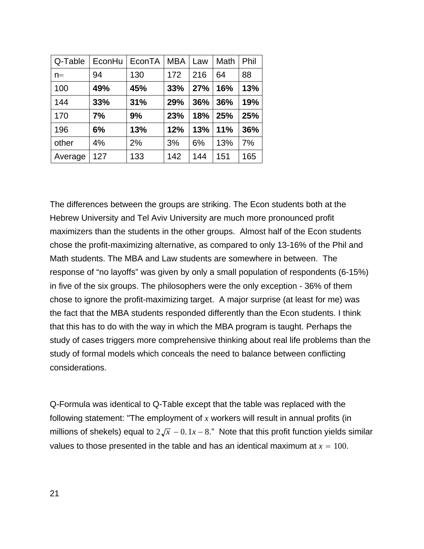| Q-Table | EconHu | EconTA | <b>MBA</b> | Law | Math | Phil |
|---------|--------|--------|------------|-----|------|------|
| $n =$   | 94     | 130    | 172        | 216 | 64   | 88   |
| 100     | 49%    | 45%    | 33%        | 27% | 16%  | 13%  |
| 144     | 33%    | 31%    | 29%        | 36% | 36%  | 19%  |
| 170     | 7%     | 9%     | 23%        | 18% | 25%  | 25%  |
| 196     | 6%     | 13%    | 12%        | 13% | 11%  | 36%  |
| other   | 4%     | 2%     | 3%         | 6%  | 13%  | 7%   |
| Average | 127    | 133    | 142        | 144 | 151  | 165  |

The differences between the groups are striking. The Econ students both at the Hebrew University and Tel Aviv University are much more pronounced profit maximizers than the students in the other groups. Almost half of the Econ students chose the profit-maximizing alternative, as compared to only 13-16% of the Phil and Math students. The MBA and Law students are somewhere in between. The response of "no layoffs" was given by only a small population of respondents (6-15%) in five of the six groups. The philosophers were the only exception - 36% of them chose to ignore the profit-maximizing target. A major surprise (at least for me) was the fact that the MBA students responded differently than the Econ students. I think that this has to do with the way in which the MBA program is taught. Perhaps the study of cases triggers more comprehensive thinking about real life problems than the study of formal models which conceals the need to balance between conflicting considerations.

Q-Formula was identical to Q-Table except that the table was replaced with the following statement: "The employment of *x* workers will result in annual profits (in millions of shekels) equal to  $2\sqrt{x} - 0.1x - 8$ ." Note that this profit function yields similar values to those presented in the table and has an identical maximum at  $x = 100$ .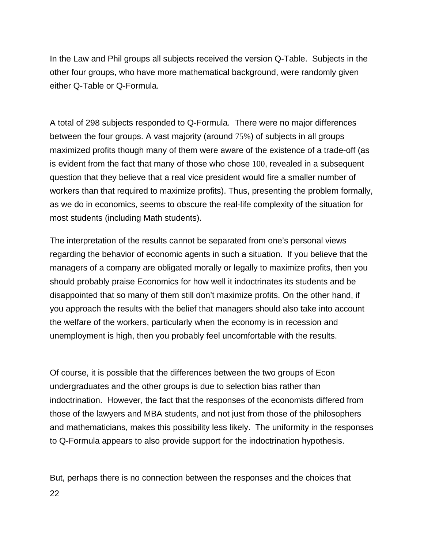In the Law and Phil groups all subjects received the version Q-Table. Subjects in the other four groups, who have more mathematical background, were randomly given either Q-Table or Q-Formula.

A total of 298 subjects responded to Q-Formula. There were no major differences between the four groups. A vast majority (around 75%) of subjects in all groups maximized profits though many of them were aware of the existence of a trade-off (as is evident from the fact that many of those who chose 100, revealed in a subsequent question that they believe that a real vice president would fire a smaller number of workers than that required to maximize profits). Thus, presenting the problem formally, as we do in economics, seems to obscure the real-life complexity of the situation for most students (including Math students).

The interpretation of the results cannot be separated from one's personal views regarding the behavior of economic agents in such a situation. If you believe that the managers of a company are obligated morally or legally to maximize profits, then you should probably praise Economics for how well it indoctrinates its students and be disappointed that so many of them still don't maximize profits. On the other hand, if you approach the results with the belief that managers should also take into account the welfare of the workers, particularly when the economy is in recession and unemployment is high, then you probably feel uncomfortable with the results.

Of course, it is possible that the differences between the two groups of Econ undergraduates and the other groups is due to selection bias rather than indoctrination. However, the fact that the responses of the economists differed from those of the lawyers and MBA students, and not just from those of the philosophers and mathematicians, makes this possibility less likely. The uniformity in the responses to Q-Formula appears to also provide support for the indoctrination hypothesis.

But, perhaps there is no connection between the responses and the choices that 22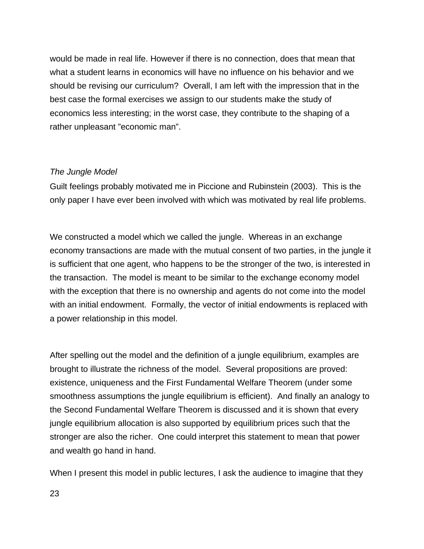would be made in real life. However if there is no connection, does that mean that what a student learns in economics will have no influence on his behavior and we should be revising our curriculum? Overall, I am left with the impression that in the best case the formal exercises we assign to our students make the study of economics less interesting; in the worst case, they contribute to the shaping of a rather unpleasant "economic man".

### *The Jungle Model*

Guilt feelings probably motivated me in Piccione and Rubinstein (2003). This is the only paper I have ever been involved with which was motivated by real life problems.

We constructed a model which we called the jungle. Whereas in an exchange economy transactions are made with the mutual consent of two parties, in the jungle it is sufficient that one agent, who happens to be the stronger of the two, is interested in the transaction. The model is meant to be similar to the exchange economy model with the exception that there is no ownership and agents do not come into the model with an initial endowment. Formally, the vector of initial endowments is replaced with a power relationship in this model.

After spelling out the model and the definition of a jungle equilibrium, examples are brought to illustrate the richness of the model. Several propositions are proved: existence, uniqueness and the First Fundamental Welfare Theorem (under some smoothness assumptions the jungle equilibrium is efficient). And finally an analogy to the Second Fundamental Welfare Theorem is discussed and it is shown that every jungle equilibrium allocation is also supported by equilibrium prices such that the stronger are also the richer. One could interpret this statement to mean that power and wealth go hand in hand.

When I present this model in public lectures, I ask the audience to imagine that they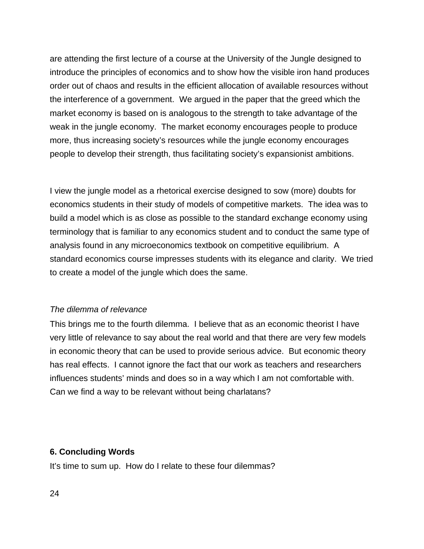are attending the first lecture of a course at the University of the Jungle designed to introduce the principles of economics and to show how the visible iron hand produces order out of chaos and results in the efficient allocation of available resources without the interference of a government. We argued in the paper that the greed which the market economy is based on is analogous to the strength to take advantage of the weak in the jungle economy. The market economy encourages people to produce more, thus increasing society's resources while the jungle economy encourages people to develop their strength, thus facilitating society's expansionist ambitions.

I view the jungle model as a rhetorical exercise designed to sow (more) doubts for economics students in their study of models of competitive markets. The idea was to build a model which is as close as possible to the standard exchange economy using terminology that is familiar to any economics student and to conduct the same type of analysis found in any microeconomics textbook on competitive equilibrium. A standard economics course impresses students with its elegance and clarity. We tried to create a model of the jungle which does the same.

#### *The dilemma of relevance*

This brings me to the fourth dilemma. I believe that as an economic theorist I have very little of relevance to say about the real world and that there are very few models in economic theory that can be used to provide serious advice. But economic theory has real effects. I cannot ignore the fact that our work as teachers and researchers influences students' minds and does so in a way which I am not comfortable with. Can we find a way to be relevant without being charlatans?

#### **6. Concluding Words**

It's time to sum up. How do I relate to these four dilemmas?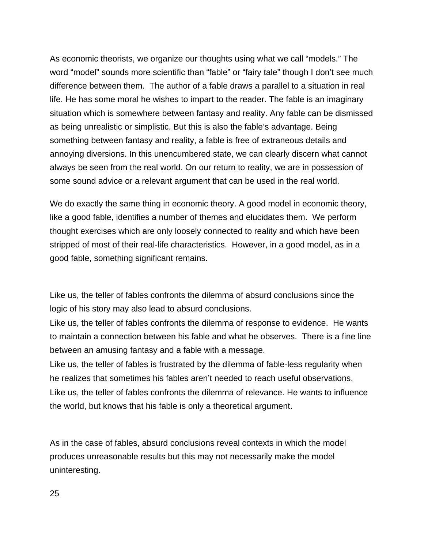As economic theorists, we organize our thoughts using what we call "models." The word "model" sounds more scientific than "fable" or "fairy tale" though I don't see much difference between them. The author of a fable draws a parallel to a situation in real life. He has some moral he wishes to impart to the reader. The fable is an imaginary situation which is somewhere between fantasy and reality. Any fable can be dismissed as being unrealistic or simplistic. But this is also the fable's advantage. Being something between fantasy and reality, a fable is free of extraneous details and annoying diversions. In this unencumbered state, we can clearly discern what cannot always be seen from the real world. On our return to reality, we are in possession of some sound advice or a relevant argument that can be used in the real world.

We do exactly the same thing in economic theory. A good model in economic theory, like a good fable, identifies a number of themes and elucidates them. We perform thought exercises which are only loosely connected to reality and which have been stripped of most of their real-life characteristics. However, in a good model, as in a good fable, something significant remains.

Like us, the teller of fables confronts the dilemma of absurd conclusions since the logic of his story may also lead to absurd conclusions.

Like us, the teller of fables confronts the dilemma of response to evidence. He wants to maintain a connection between his fable and what he observes. There is a fine line between an amusing fantasy and a fable with a message.

Like us, the teller of fables is frustrated by the dilemma of fable-less regularity when he realizes that sometimes his fables aren't needed to reach useful observations. Like us, the teller of fables confronts the dilemma of relevance. He wants to influence the world, but knows that his fable is only a theoretical argument.

As in the case of fables, absurd conclusions reveal contexts in which the model produces unreasonable results but this may not necessarily make the model uninteresting.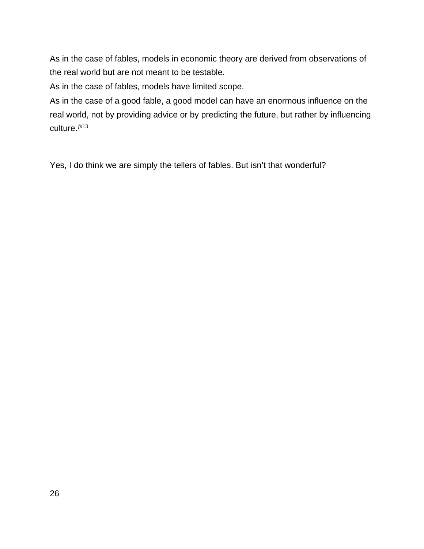As in the case of fables, models in economic theory are derived from observations of the real world but are not meant to be testable.

As in the case of fables, models have limited scope.

As in the case of a good fable, a good model can have an enormous influence on the real world, not by providing advice or by predicting the future, but rather by influencing culture.*fn*<sup>13</sup>

Yes, I do think we are simply the tellers of fables. But isn't that wonderful?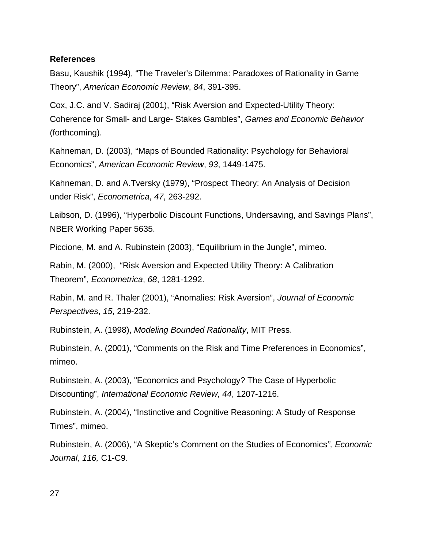### **References**

Basu, Kaushik (1994), "The Traveler's Dilemma: Paradoxes of Rationality in Game Theory", *American Economic Review*, *84*, 391-395.

Cox, J.C. and V. Sadiraj (2001), "Risk Aversion and Expected-Utility Theory: Coherence for Small- and Large- Stakes Gambles", *Games and Economic Behavior* (forthcoming).

Kahneman, D. (2003), "Maps of Bounded Rationality: Psychology for Behavioral Economics", *American Economic Review*, *93*, 1449-1475.

Kahneman, D. and A.Tversky (1979), "Prospect Theory: An Analysis of Decision under Risk", *Econometrica*, *47*, 263-292.

Laibson, D. (1996), "Hyperbolic Discount Functions, Undersaving, and Savings Plans", NBER Working Paper 5635.

Piccione, M. and A. Rubinstein (2003), "Equilibrium in the Jungle", mimeo.

Rabin, M. (2000), "Risk Aversion and Expected Utility Theory: A Calibration Theorem", *Econometrica*, *68*, 1281-1292.

Rabin, M. and R. Thaler (2001), "Anomalies: Risk Aversion", *Journal of Economic Perspectives*, *15*, 219-232.

Rubinstein, A. (1998), *Modeling Bounded Rationality*, MIT Press.

Rubinstein, A. (2001), "Comments on the Risk and Time Preferences in Economics", mimeo.

Rubinstein, A. (2003), "Economics and Psychology? The Case of Hyperbolic Discounting", *International Economic Review*, *44*, 1207-1216.

Rubinstein, A. (2004), "Instinctive and Cognitive Reasoning: A Study of Response Times", mimeo.

Rubinstein, A. (2006), "A Skeptic's Comment on the Studies of Economics*", Economic Journal, 116,* C1-C9*.*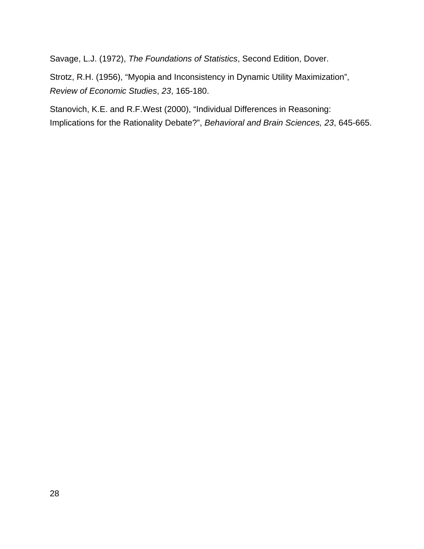Savage, L.J. (1972), *The Foundations of Statistics*, Second Edition, Dover.

Strotz, R.H. (1956), "Myopia and Inconsistency in Dynamic Utility Maximization", *Review of Economic Studies*, *23*, 165-180.

Stanovich, K.E. and R.F.West (2000), "Individual Differences in Reasoning: Implications for the Rationality Debate?", *Behavioral and Brain Sciences, 23*, 645-665.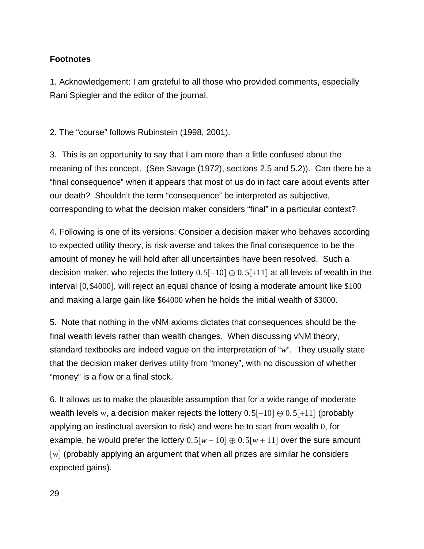# **Footnotes**

1. Acknowledgement: I am grateful to all those who provided comments, especially Rani Spiegler and the editor of the journal.

2. The "course" follows Rubinstein (1998, 2001).

3. This is an opportunity to say that I am more than a little confused about the meaning of this concept. (See Savage (1972), sections 2.5 and 5.2)). Can there be a "final consequence" when it appears that most of us do in fact care about events after our death? Shouldn't the term "consequence" be interpreted as subjective, corresponding to what the decision maker considers "final" in a particular context?

4. Following is one of its versions: Consider a decision maker who behaves according to expected utility theory, is risk averse and takes the final consequence to be the amount of money he will hold after all uncertainties have been resolved. Such a decision maker, who rejects the lottery  $0.5[-10] \oplus 0.5[+11]$  at all levels of wealth in the interval  $[0, $4000]$ , will reject an equal chance of losing a moderate amount like  $$100$ and making a large gain like \$64000 when he holds the initial wealth of \$3000.

5. Note that nothing in the vNM axioms dictates that consequences should be the final wealth levels rather than wealth changes. When discussing vNM theory, standard textbooks are indeed vague on the interpretation of "*w*". They usually state that the decision maker derives utility from "money", with no discussion of whether "money" is a flow or a final stock.

6. It allows us to make the plausible assumption that for a wide range of moderate wealth levels *w*, a decision maker rejects the lottery  $0.5[-10] \oplus 0.5[+11]$  (probably applying an instinctual aversion to risk) and were he to start from wealth 0, for example, he would prefer the lottery  $0.5[w - 10] \oplus 0.5[w + 11]$  over the sure amount [w] (probably applying an argument that when all prizes are similar he considers expected gains).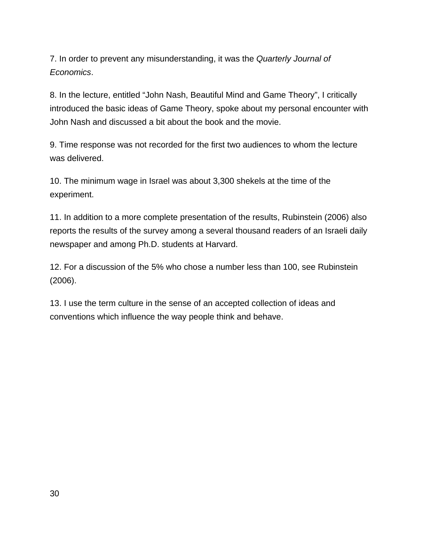7. In order to prevent any misunderstanding, it was the *Quarterly Journal of Economics*.

8. In the lecture, entitled "John Nash, Beautiful Mind and Game Theory", I critically introduced the basic ideas of Game Theory, spoke about my personal encounter with John Nash and discussed a bit about the book and the movie.

9. Time response was not recorded for the first two audiences to whom the lecture was delivered.

10. The minimum wage in Israel was about 3,300 shekels at the time of the experiment.

11. In addition to a more complete presentation of the results, Rubinstein (2006) also reports the results of the survey among a several thousand readers of an Israeli daily newspaper and among Ph.D. students at Harvard.

12. For a discussion of the 5% who chose a number less than 100, see Rubinstein (2006).

13. I use the term culture in the sense of an accepted collection of ideas and conventions which influence the way people think and behave.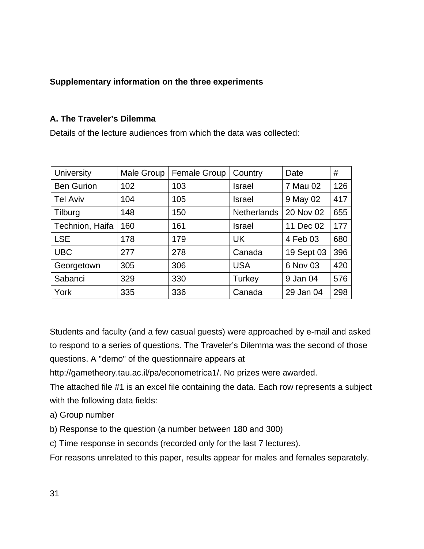# **Supplementary information on the three experiments**

## **A. The Traveler's Dilemma**

Details of the lecture audiences from which the data was collected:

| <b>University</b> | Male Group | <b>Female Group</b> | Country            | Date       | #   |
|-------------------|------------|---------------------|--------------------|------------|-----|
| <b>Ben Gurion</b> | 102        | 103                 | Israel             | 7 Mau 02   | 126 |
| <b>Tel Aviv</b>   | 104        | 105                 | Israel             | 9 May 02   | 417 |
| Tilburg           | 148        | 150                 | <b>Netherlands</b> | 20 Nov 02  | 655 |
| Technion, Haifa   | 160        | 161                 | <b>Israel</b>      | 11 Dec 02  | 177 |
| <b>LSE</b>        | 178        | 179                 | <b>UK</b>          | 4 Feb 03   | 680 |
| <b>UBC</b>        | 277        | 278                 | Canada             | 19 Sept 03 | 396 |
| Georgetown        | 305        | 306                 | <b>USA</b>         | 6 Nov 03   | 420 |
| Sabanci           | 329        | 330                 | Turkey             | 9 Jan 04   | 576 |
| York              | 335        | 336                 | Canada             | 29 Jan 04  | 298 |

Students and faculty (and a few casual guests) were approached by e-mail and asked to respond to a series of questions. The Traveler's Dilemma was the second of those questions. A "demo" of the questionnaire appears at

http://gametheory.tau.ac.il/pa/econometrica1/. No prizes were awarded.

The attached file #1 is an excel file containing the data. Each row represents a subject with the following data fields:

- a) Group number
- b) Response to the question (a number between 180 and 300)
- c) Time response in seconds (recorded only for the last 7 lectures).

For reasons unrelated to this paper, results appear for males and females separately.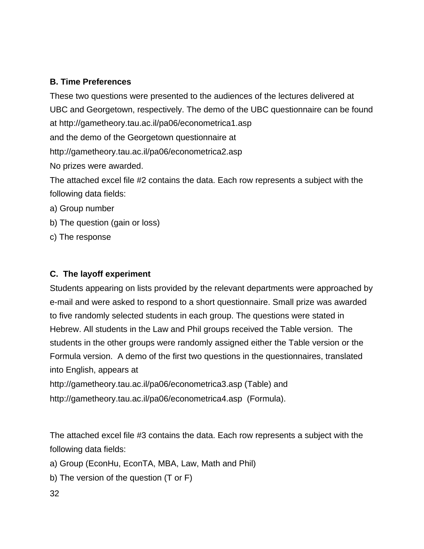# **B. Time Preferences**

These two questions were presented to the audiences of the lectures delivered at UBC and Georgetown, respectively. The demo of the UBC questionnaire can be found at http://gametheory.tau.ac.il/pa06/econometrica1.asp and the demo of the Georgetown questionnaire at http://gametheory.tau.ac.il/pa06/econometrica2.asp No prizes were awarded. The attached excel file #2 contains the data. Each row represents a subject with the

- following data fields:
- a) Group number
- b) The question (gain or loss)
- c) The response

# **C. The layoff experiment**

Students appearing on lists provided by the relevant departments were approached by e-mail and were asked to respond to a short questionnaire. Small prize was awarded to five randomly selected students in each group. The questions were stated in Hebrew. All students in the Law and Phil groups received the Table version. The students in the other groups were randomly assigned either the Table version or the Formula version. A demo of the first two questions in the questionnaires, translated into English, appears at

http://gametheory.tau.ac.il/pa06/econometrica3.asp (Table) and http://gametheory.tau.ac.il/pa06/econometrica4.asp (Formula).

The attached excel file #3 contains the data. Each row represents a subject with the following data fields:

- a) Group (EconHu, EconTA, MBA, Law, Math and Phil)
- b) The version of the question (T or F)
- 32